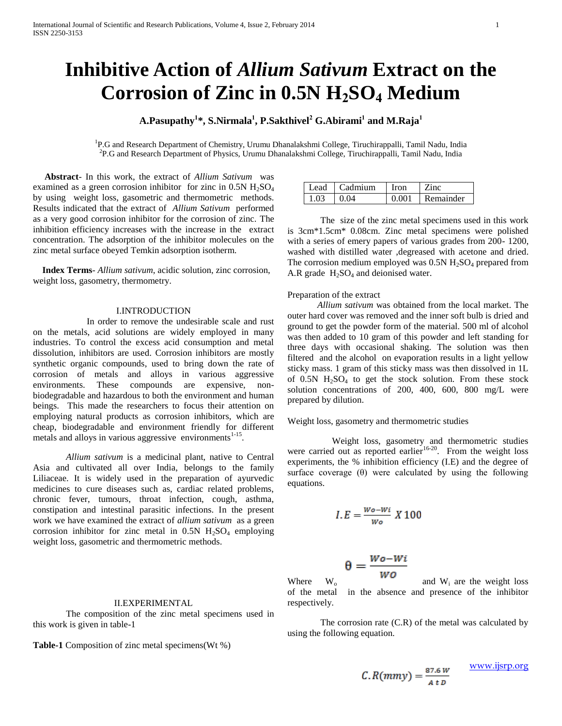# **Inhibitive Action of** *Allium Sativum* **Extract on the Corrosion of Zinc in 0.5N H2SO<sup>4</sup> Medium**

**A.Pasupathy<sup>1</sup> \*, S.Nirmala<sup>1</sup> , P.Sakthivel<sup>2</sup> G.Abirami<sup>1</sup> and M.Raja<sup>1</sup>**

<sup>1</sup>P.G and Research Department of Chemistry, Urumu Dhanalakshmi College, Tiruchirappalli, Tamil Nadu, India 2 P.G and Research Department of Physics, Urumu Dhanalakshmi College, Tiruchirappalli, Tamil Nadu, India

 **Abstract**- In this work, the extract of *Allium Sativum*was examined as a green corrosion inhibitor for zinc in  $0.5N$  H<sub>2</sub>SO<sub>4</sub> by using weight loss, gasometric and thermometric methods. Results indicated that the extract of *Allium Sativum*performed as a very good corrosion inhibitor for the corrosion of zinc. The inhibition efficiency increases with the increase in the extract concentration. The adsorption of the inhibitor molecules on the zinc metal surface obeyed Temkin adsorption isotherm.

 **Index Terms**- *Allium sativum*, acidic solution, zinc corrosion, weight loss, gasometry, thermometry.

### I.INTRODUCTION

 In order to remove the undesirable scale and rust on the metals, acid solutions are widely employed in many industries. To control the excess acid consumption and metal dissolution, inhibitors are used. Corrosion inhibitors are mostly synthetic organic compounds, used to bring down the rate of corrosion of metals and alloys in various aggressive environments. These compounds are expensive, nonbiodegradable and hazardous to both the environment and human beings. This made the researchers to focus their attention on employing natural products as corrosion inhibitors, which are cheap, biodegradable and environment friendly for different metals and alloys in various aggressive environments $1-15$ .

*Allium sativum* is a medicinal plant, native to Central Asia and cultivated all over India, belongs to the family Liliaceae. It is widely used in the preparation of ayurvedic medicines to cure diseases such as, cardiac related problems, chronic fever, tumours, throat infection, cough, asthma, constipation and intestinal parasitic infections. In the present work we have examined the extract of *allium sativum* as a green corrosion inhibitor for zinc metal in  $0.5N$  H<sub>2</sub>SO<sub>4</sub> employing weight loss, gasometric and thermometric methods.

## II.EXPERIMENTAL

The composition of the zinc metal specimens used in this work is given in table-1

**Table-1** Composition of zinc metal specimens(Wt %)

|      | Lead   Cadmium | <b>I</b> ron | $\blacksquare$ Zinc.  |
|------|----------------|--------------|-----------------------|
| 1.03 | $\pm 0.04$     |              | $\pm 0.001$ Remainder |

The size of the zinc metal specimens used in this work is 3cm\*1.5cm\* 0.08cm. Zinc metal specimens were polished with a series of emery papers of various grades from 200- 1200, washed with distilled water ,degreased with acetone and dried. The corrosion medium employed was  $0.5N H<sub>2</sub>SO<sub>4</sub>$  prepared from A.R grade  $H_2SO_4$  and deionised water.

## Preparation of the extract

 *Allium sativum* was obtained from the local market. The outer hard cover was removed and the inner soft bulb is dried and ground to get the powder form of the material. 500 ml of alcohol was then added to 10 gram of this powder and left standing for three days with occasional shaking. The solution was then filtered and the alcohol on evaporation results in a light yellow sticky mass. 1 gram of this sticky mass was then dissolved in 1L of  $0.5N$  H<sub>2</sub>SO<sub>4</sub> to get the stock solution. From these stock solution concentrations of 200, 400, 600, 800 mg/L were prepared by dilution.

Weight loss, gasometry and thermometric studies

 Weight loss, gasometry and thermometric studies were carried out as reported earlier<sup>16-20</sup>. From the weight loss experiments, the % inhibition efficiency (I.E) and the degree of surface coverage  $(\theta)$  were calculated by using the following equations.

$$
I.E = \frac{Wo - Wi}{Wo} X 100
$$

$$
\theta = \frac{Wo - Wi}{mg}
$$

Where  $W_o$  **WO** and  $W_i$  are the weight loss of the metal in the absence and presence of the inhibitor respectively.

The corrosion rate (C.R) of the metal was calculated by using the following equation.

www.ijsrp.org

$$
f_{\rm{max}}
$$

 $C.R(mmy) = \frac{87.6 W}{4 D}$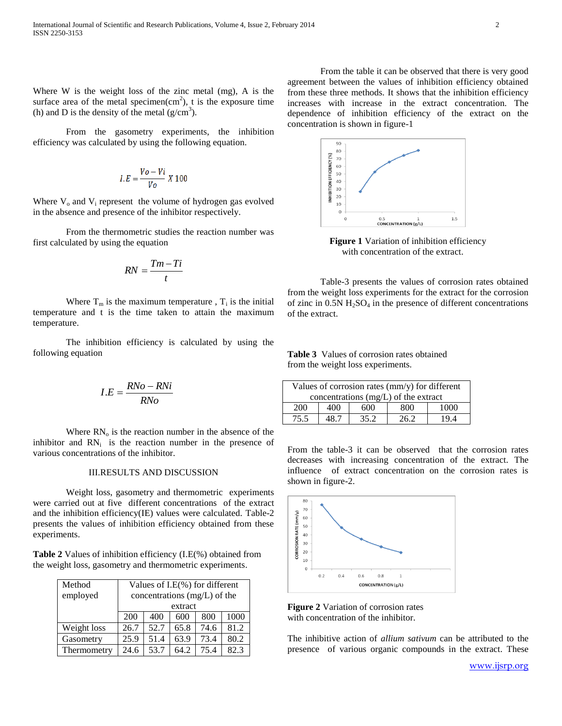Where W is the weight loss of the zinc metal (mg), A is the surface area of the metal specimen $(cm<sup>2</sup>)$ , t is the exposure time (h) and D is the density of the metal  $(g/cm<sup>3</sup>)$ .

From the gasometry experiments, the inhibition efficiency was calculated by using the following equation.

$$
I.E = \frac{V_o - Vi}{V_o} X 100
$$

Where  $V_0$  and  $V_i$  represent the volume of hydrogen gas evolved in the absence and presence of the inhibitor respectively.

From the thermometric studies the reaction number was first calculated by using the equation

$$
RN = \frac{Tm - Ti}{t}
$$

Where  $T_m$  is the maximum temperature,  $T_i$  is the initial temperature and t is the time taken to attain the maximum temperature.

The inhibition efficiency is calculated by using the following equation

$$
I.E = \frac{RNo - RNi}{RNo}
$$

Where  $RN_{o}$  is the reaction number in the absence of the inhibitor and  $RN<sub>i</sub>$  is the reaction number in the presence of various concentrations of the inhibitor.

### III.RESULTS AND DISCUSSION

Weight loss, gasometry and thermometric experiments were carried out at five different concentrations of the extract and the inhibition efficiency(IE) values were calculated. Table-2 presents the values of inhibition efficiency obtained from these experiments.

**Table 2** Values of inhibition efficiency (I.E(%) obtained from the weight loss, gasometry and thermometric experiments.

| Method      | Values of I.E(%) for different |      |      |      |      |
|-------------|--------------------------------|------|------|------|------|
| employed    | concentrations (mg/L) of the   |      |      |      |      |
|             | extract                        |      |      |      |      |
|             | 200                            | 400  | 600  | 800  | 1000 |
| Weight loss | 26.7                           | 52.7 | 65.8 | 74.6 | 81.2 |
| Gasometry   | 25.9                           | 51.4 | 63.9 | 73.4 | 80.2 |
| Thermometry | 24.6                           | 53.7 | 64.2 | 75.4 | 82.3 |

From the table it can be observed that there is very good agreement between the values of inhibition efficiency obtained from these three methods. It shows that the inhibition efficiency increases with increase in the extract concentration. The dependence of inhibition efficiency of the extract on the concentration is shown in figure-1



**Figure 1** Variation of inhibition efficiency with concentration of the extract.

Table-3 presents the values of corrosion rates obtained from the weight loss experiments for the extract for the corrosion of zinc in  $0.5N H<sub>2</sub>SO<sub>4</sub>$  in the presence of different concentrations of the extract.

**Table 3** Values of corrosion rates obtained from the weight loss experiments.

| Values of corrosion rates (mm/y) for different |         |      |      |      |  |  |  |  |
|------------------------------------------------|---------|------|------|------|--|--|--|--|
| concentrations $(mg/L)$ of the extract         |         |      |      |      |  |  |  |  |
| 200                                            | 400     | 600  | 800  | 1000 |  |  |  |  |
| 75.5                                           | $-48.7$ | 35.2 | 26.2 | 194  |  |  |  |  |

From the table-3 it can be observed that the corrosion rates decreases with increasing concentration of the extract. The influence of extract concentration on the corrosion rates is shown in figure-2.



**Figure 2** Variation of corrosion rates with concentration of the inhibitor.

The inhibitive action of *allium sativum* can be attributed to the presence of various organic compounds in the extract. These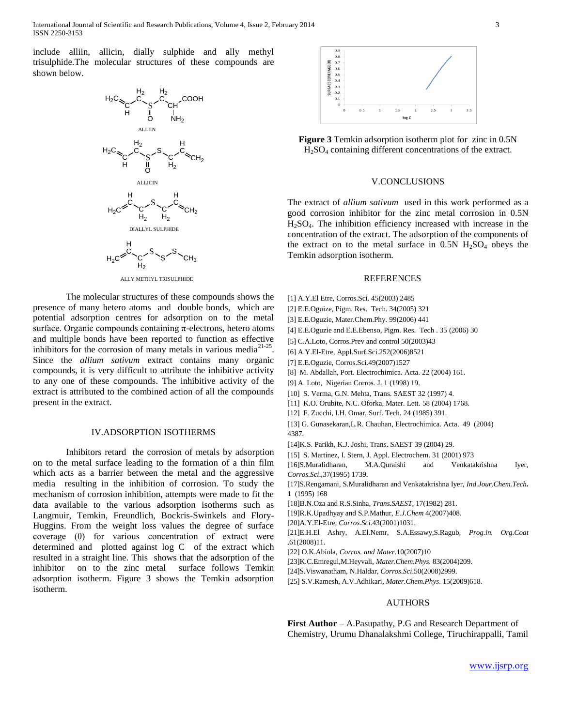International Journal of Scientific and Research Publications, Volume 4, Issue 2, February 2014 3 ISSN 2250-3153

include alliin, allicin, dially sulphide and ally methyl trisulphide.The molecular structures of these compounds are shown below.



The molecular structures of these compounds shows the presence of many hetero atoms and double bonds, which are potential adsorption centres for adsorption on to the metal surface. Organic compounds containing  $\pi$ -electrons, hetero atoms and multiple bonds have been reported to function as effective inhibitors for the corrosion of many metals in various media $2^{1-25}$ . Since the *allium sativum* extract contains many organic compounds, it is very difficult to attribute the inhibitive activity to any one of these compounds. The inhibitive activity of the extract is attributed to the combined action of all the compounds present in the extract.

#### IV.ADSORPTION ISOTHERMS

Inhibitors retard the corrosion of metals by adsorption on to the metal surface leading to the formation of a thin film which acts as a barrier between the metal and the aggressive media resulting in the inhibition of corrosion. To study the mechanism of corrosion inhibition, attempts were made to fit the data available to the various adsorption isotherms such as Langmuir, Temkin, Freundlich, Bockris-Swinkels and Flory-Huggins. From the weight loss values the degree of surface coverage (θ) for various concentration of extract were determined and plotted against log C of the extract which resulted in a straight line. This shows that the adsorption of the inhibitor on to the zinc metal surface follows Temkin adsorption isotherm. Figure 3 shows the Temkin adsorption isotherm.



**Figure 3** Temkin adsorption isotherm plot for zinc in 0.5N  $H<sub>2</sub>SO<sub>4</sub>$  containing different concentrations of the extract.

## V.CONCLUSIONS

The extract of *allium sativum* used in this work performed as a good corrosion inhibitor for the zinc metal corrosion in 0.5N H2SO4. The inhibition efficiency increased with increase in the concentration of the extract. The adsorption of the components of the extract on to the metal surface in  $0.5N$  H<sub>2</sub>SO<sub>4</sub> obeys the Temkin adsorption isotherm.

### REFERENCES

- [1] A.Y.El Etre, Corros.Sci. 45(2003) 2485
- [2] E.E.Oguize, Pigm. Res. Tech. 34(2005) 321
- [3] E.E.Oguzie, Mater.Chem.Phy. 99(2006) 441
- [4] E.E.Oguzie and E.E.Ebenso, Pigm. Res. Tech . 35 (2006) 30
- [5] C.A.Loto, Corros.Prev and control 50(2003)43
- [6] A.Y.El-Etre, Appl.Surf.Sci.252(2006)8521
- [7] E.E.Oguzie, Corros.Sci.49(2007)1527
- [8] M. Abdallah, Port. Electrochimica. Acta. 22 (2004) 161.
- [9] A. Loto, Nigerian Corros. J. 1 (1998) 19.
- [10] S. Verma, G.N. Mehta, Trans. SAEST 32 (1997) 4.
- [11] K.O. Orubite, N.C. Oforka, Mater. Lett. 58 (2004) 1768.
- [12] F. Zucchi, I.H. Omar, Surf. Tech. 24 (1985) 391.
- [13] G. Gunasekaran,L.R. Chauhan, Electrochimica. Acta. 49 (2004) 4387.
- [14]K.S. Parikh, K.J. Joshi, Trans. SAEST 39 (2004) 29.
- [15] S. Martinez, I. Stern, J. Appl. Electrochem. 31 (2001) 973

[16]S.Muralidharan, M.A.Quraishi and Venkatakrishna Iyer, *Corros.Sci*.,37(1995) 1739.

- [17]S.Rengamani, S.Muralidharan and Venkatakrishna Iyer, *Ind.Jour.Chem.Tech.* **1** (1995) 168
- [18]B.N.Oza and R.S.Sinha, *Trans.SAEST*, 17(1982) 281.
- [19]R.K.Upadhyay and S.P.Mathur, *E.J.Chem* 4(2007)408.
- [20]A.Y.El-Etre*, Corros.Sci*.43(2001)1031.
- [21]E.H.El Ashry, A.El.Nemr, S.A.Essawy,S.Ragub, *Prog.in. Org.Coat* .61(2008)11.
- [22] O.K.Abiola, *Corros. and Mater.*10(2007)10
- [23]K.C.Emregul,M.Heyvali, *Mater.Chem.Phys*. 83(2004)209.
- [24]S.Viswanatham, N.Haldar, *Corros.Sci*.50(2008)2999.
- [25] S.V.Ramesh, A.V.Adhikari, *Mater.Chem.Phys*. 15(2009)618.

## AUTHORS

**First Author** – A.Pasupathy, P.G and Research Department of Chemistry, Urumu Dhanalakshmi College, Tiruchirappalli, Tamil